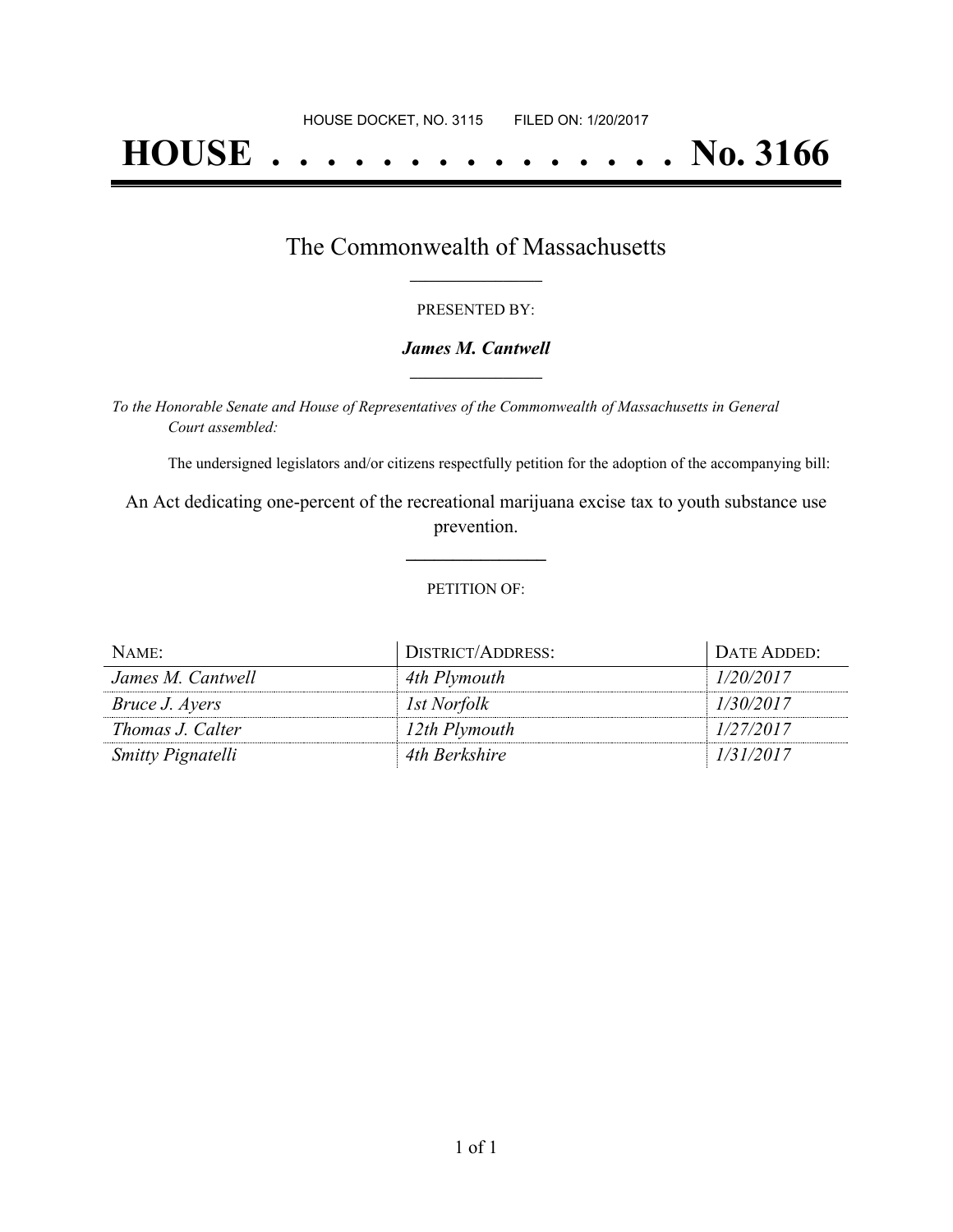# **HOUSE . . . . . . . . . . . . . . . No. 3166**

### The Commonwealth of Massachusetts **\_\_\_\_\_\_\_\_\_\_\_\_\_\_\_\_\_**

#### PRESENTED BY:

#### *James M. Cantwell* **\_\_\_\_\_\_\_\_\_\_\_\_\_\_\_\_\_**

*To the Honorable Senate and House of Representatives of the Commonwealth of Massachusetts in General Court assembled:*

The undersigned legislators and/or citizens respectfully petition for the adoption of the accompanying bill:

An Act dedicating one-percent of the recreational marijuana excise tax to youth substance use prevention.

**\_\_\_\_\_\_\_\_\_\_\_\_\_\_\_**

#### PETITION OF:

| NAME:                    | DISTRICT/ADDRESS: | DATE ADDED: |
|--------------------------|-------------------|-------------|
| James M. Cantwell        | 4th Plymouth      | 1/20/2017   |
| Bruce J. Ayers           | 1st Norfolk       | 1/30/2017   |
| Thomas J. Calter         | 12th Plymouth     | 1/27/2017   |
| <b>Smitty Pignatelli</b> | 4th Berkshire     | 1/31/2017   |